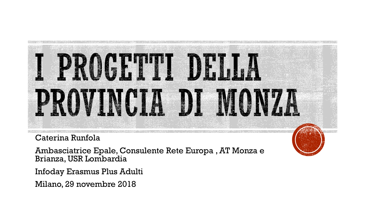

Caterina Runfola

Ambasciatrice Epale, Consulente Rete Europa , AT Monza e Brianza, USR Lombardia

Infoday Erasmus Plus Adulti

Milano, 29 novembre 2018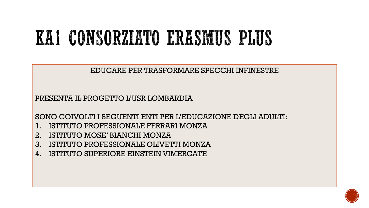### KAI CONSORZIATO ERASMUS PLUS

EDUCARE PER TRASFORMARE SPECCHI INFINESTRE

PRESENTA IL PROGETTO L'USR LOMBARDIA

SONO COIVOLTI I SEGUENTI ENTI PER L'EDUCAZIONE DEGLI ADULTI:

- 1. ISTITUTO PROFESSIONALE FERRARI MONZA
- 2. ISTITUTO MOSE' BIANCHI MONZA
- 3. ISTITUTO PROFESSIONALE OLIVETTI MONZA
- 4. ISTITUTO SUPERIORE EINSTEIN VIMERCATE

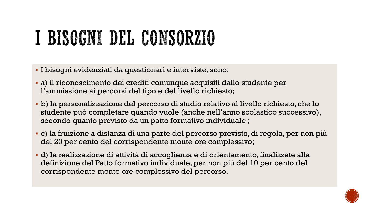# I BISOGNI DEL CONSORZIO

- I bisogni evidenziati da questionari e interviste, sono:
- a) il riconoscimento dei crediti comunque acquisiti dallo studente per l'ammissione ai percorsi del tipo e del livello richiesto;
- b) la personalizzazione del percorso di studio relativo al livello richiesto, che lo studente può completare quando vuole (anche nell'anno scolastico successivo), secondo quanto previsto da un patto formativo individuale ;
- c) la fruizione a distanza di una parte del percorso previsto, di regola, per non più del 20 per cento del corrispondente monte ore complessivo;
- d) la realizzazione di attività di accoglienza e di orientamento, finalizzate alla definizione del Patto formativo individuale, per non più del 10 per cento del corrispondente monte ore complessivo del percorso.

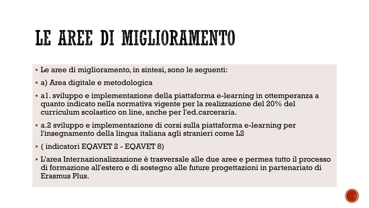### LE AREE DI MIGLIORAMENTO

- Le aree di miglioramento, in sintesi, sono le seguenti:
- a) Area digitale e metodologica
- a1. sviluppo e implementazione della piattaforma e-learning in ottemperanza a quanto indicato nella normativa vigente per la realizzazione del 20% del curriculum scolastico on line, anche per l'ed.carceraria.
- a.2 sviluppo e implementazione di corsi sulla piattaforma e-learning per l'insegnamento della lingua italiana agli stranieri come L2
- ( indicatori EQAVET 2 EQAVET 8)
- L'area Internazionalizzazione è trasversale alle due aree e permea tutto il processo di formazione all'estero e di sostegno alle future progettazioni in partenariato di Erasmus Plus.

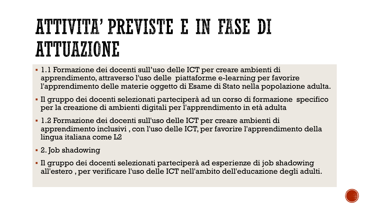### ATTIVITA' PREVISTE E IN FASE DI ATTUAZIONE

- 1.1 Formazione dei docenti sull'uso delle ICT per creare ambienti di apprendimento, attraverso l'uso delle piattaforme e-learning per favorire l'apprendimento delle materie oggetto di Esame di Stato nella popolazione adulta.
- Il gruppo dei docenti selezionati parteciperà ad un corso di formazione specifico per la creazione di ambienti digitali per l'apprendimento in età adulta
- 1.2 Formazione dei docenti sull'uso delle ICT per creare ambienti di apprendimento inclusivi , con l'uso delle ICT, per favorire l'apprendimento della lingua italiana come L2
- 2. Job shadowing
- Il gruppo dei docenti selezionati parteciperà ad esperienze di job shadowing all'estero , per verificare l'uso delle ICT nell'ambito dell'educazione degli adulti.

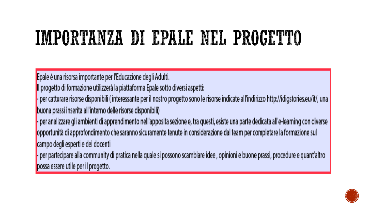### IMPORTANZA DI EPALE NEL PROGETTO

Epale è una risorsa importante per l'Educazione degli Adulti.

Il progetto di formazione utilizzerà la piattaforma Epale sotto diversi aspetti:

- per catturare risorse disponibili (interessante per il nostro progetto sono le risorse indicate all'indirizzo http://idigstories.eu/it/, una buona prassi inserita all'interno delle risorse disponibili)

- per analizzare gli ambienti di apprendimento nell'apposita sezione e, tra questi, esiste una parte dedicata all'e-learning con diverse opportunità di approfondimento che saranno sicuramente tenute in considerazione dal team per completare la formazione sul campo degli esperti e dei docenti

- per partecipare alla community di pratica nella quale si possono scambiare idee, opinioni e buone prassi, procedure e quant'altro possa essere utile per il progetto.

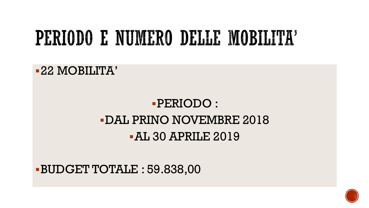### PERIODO E NUMERO DELLE MOBILITA'

### - PERIODO : **-DAL PRINO NOVEMBRE 2018** -AL 30 APRILE 2019

**BUDGET TOTALE: 59.838,00** 

-22 MOBILITA'

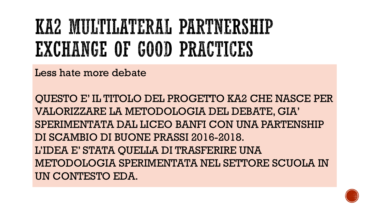### KA2 MULTILATERAL PARTNERSHIP EXCHANGE OF GOOD PRACTICES

Less hate more debate

QUESTO E' IL TITOLO DEL PROGETTO KA2 CHE NASCE PER VALORIZZARE LA METODOLOGIA DEL DEBATE, GIA' SPERIMENTATA DAL LICEO BANFI CON UNA PARTENSHIP DI SCAMBIO DI BUONE PRASSI 2016-2018. L'IDEA E' STATA QUELLA DI TRASFERIRE UNA METODOLOGIA SPERIMENTATA NEL SETTORE SCUOLA IN UN CONTESTO EDA.

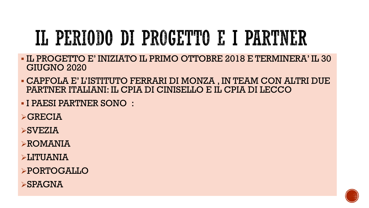# IL PERIODO DI PROGETTO E I PARTNER

- IL PROGETTO E' INIZIATO IL PRIMO OTTOBRE 2018 E TERMINERA' IL 30 GIUGNO 2020
- CAPFOLA E' L'ISTITUTO FERRARI DI MONZA , IN TEAM CON ALTRI DUE PARTNER ITALIANI: IL CPIA DI CINISELLO E IL CPIA DI LECCO
- I PAESI PARTNER SONO :
- $\triangleright$ GRECIA
- $\triangleright$ SVEZIA
- ROMANIA
- LITUANIA
- PORTOGALLO
- **>SPAGNA**

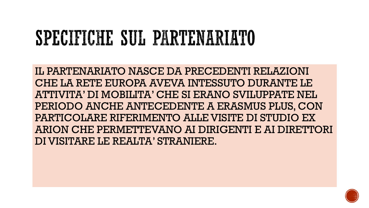### SPECIFICHE SUL PARTENARIATO

IL PARTENARIATO NASCE DA PRECEDENTI RELAZIONI CHE LA RETE EUROPA AVEVA INTESSUTO DURANTE LE ATTIVITA' DI MOBILITA' CHE SI ERANO SVILUPPATE NEL PERIODO ANCHE ANTECEDENTE A ERASMUS PLUS, CON PARTICOLARE RIFERIMENTO ALLE VISITE DI STUDIO EX ARION CHE PERMETTEVANO AI DIRIGENTI E AI DIRETTORI DI VISITARE LE REALTA' STRANIERE.

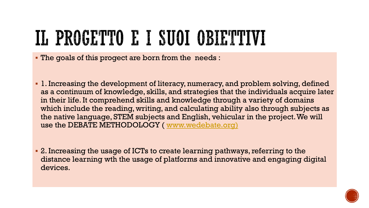# IL PROGETTO E I SUOI OBIETTUI

The goals of this progect are born from the needs :

- 1. Increasing the development of literacy, numeracy, and problem solving, defined as a continuum of knowledge, skills, and strategies that the individuals acquire later in their life. It comprehend skills and knowledge through a variety of domains which include the reading, writing, and calculating ability also through subjects as the native language, STEM subjects and English, vehicular in the project. We will use the DEBATE METHODOLOGY ( [www.wedebate.org\)](http://www.wedebate.org)/)
- 2. Increasing the usage of ICTs to create learning pathways, referring to the distance learning wth the usage of platforms and innovative and engaging digital devices.

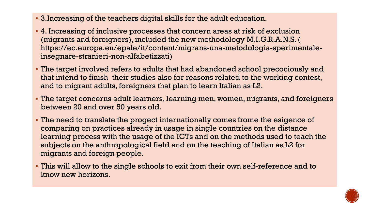- 3.Increasing of the teachers digital skills for the adult education.
- 4. Increasing of inclusive processes that concern areas at risk of exclusion (migrants and foreigners), included the new methodology M.I.G.R.A.N.S. ( https://ec.europa.eu/epale/it/content/migrans-una-metodologia-sperimentaleinsegnare-stranieri-non-alfabetizzati)
- The target involved refers to adults that had abandoned school precociously and that intend to finish their studies also for reasons related to the working contest, and to migrant adults, foreigners that plan to learn Italian as L2.
- The target concerns adult learners, learning men, women, migrants, and foreigners between 20 and over 50 years old.
- The need to translate the progect internationally comes frome the esigence of comparing on practices already in usage in single countries on the distance learning process with the usage of the ICTs and on the methods used to teach the subjects on the anthropological field and on the teaching of Italian as L2 for migrants and foreign people.
- This will allow to the single schools to exit from their own self-reference and to know new horizons.

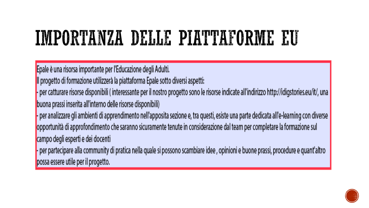### IMPORTANZA DELLE PIATTAFORME FU

Epale è una risorsa importante per l'Educazione degli Adulti.

Il progetto di formazione utilizzerà la piattaforma Epale sotto diversi aspetti:

- per catturare risorse disponibili (interessante per il nostro progetto sono le risorse indicate all'indirizzo http://idigstories.eu/it/, una buona prassi inserita all'interno delle risorse disponibili)

- per analizzare gli ambienti di apprendimento nell'apposita sezione e, tra questi, esiste una parte dedicata all'e-learning con diverse opportunità di approfondimento che saranno sicuramente tenute in considerazione dal team per completare la formazione sul campo degli esperti e dei docenti

- per partecipare alla community di pratica nella quale si possono scambiare idee, opinioni e buone prassi, procedure e quant'altro possa essere utile per il progetto.

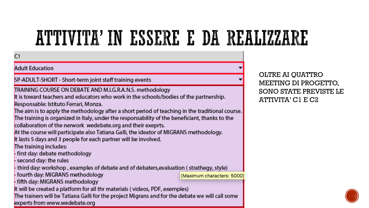### ATTIVITA'IN ESSERE E DA REALIZZARE

#### C1

#### **Adult Education**

#### SP-ADULT-SHORT - Short-term joint staff training events

#### TRAINING COURSE ON DEBATE AND M.I.G.R.A.N.S. methodology

It is toward teachers and educators who work in the schools/bodies of the partnership. Responsable: Istituto Ferrari, Monza.

The aim is to apply the methodology after a short period of teaching in the traditional course. The training is organized in Italy, under the responsability of the beneficiant, thanks to the

collaboration of the nerwork wedebate.org and their exeprts.

At the course will participate also Tatiana Galli, the ideator of MIGRANS methodology.

It lasts 5 days and 3 people for each partner will be involved.

The training includes:

- first day: debate methodology

- second day: the rules

third day: workshop, examples of debate and of debaters,evaluation (strathegy, style)

- fourth day: MIGRANS methodology

[Maximum characters: 5000]

- fifth day: MIGRANS methodology

It will be created a platform for all thr materials (videos, PDF, exemples)

The trainers will be Tatiana Galli for the project Migrans and for the debate we will call some experts from www.wedebate.org

OLTRE AI QUATTRO MEETING DI PROGETTO, **SONO STATE PREVISTE LE**  $ATTIVITA' C1 E C2$ 

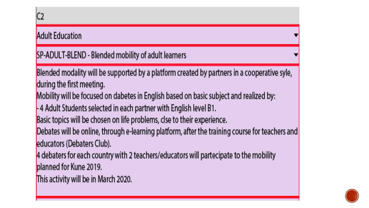### **Adult Education** SP-ADULT-BLEND - Blended mobility of adult learners Blended modality will be supported by a platform created by partners in a cooperative syle, during the first meeting. Mobility will be focused on dabetes in English based on basic subject and realized by: -4 Adult Students selected in each partner with English level B1. Basic topics will be chosen on life problems, clse to their experience. Debates will be online, through e-learning platform, after the training course for teachers and educators (Debaters Club). 4 debaters for each country with 2 teachers/educators will partecipate to the mobility planned for Kune 2019. This activity will be in March 2020.

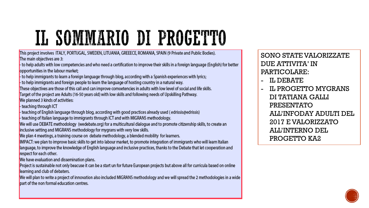# IL SOMMARIO DI PROGETTO

This project involves ITALY, PORTUGAL, SWEDEN, LITUANIA, GREEECE, ROMANIA, SPAIN (9 Private and Public Bodies). The main objectives are 3:

- to help adults with low competencies and who need a certification to improve their skills in a foreign language (English) for better opportunities in the labour market:

- to help immigrants to learn a foreign language through blog, according with a Spanish experiences with lyrics;

- to help immigrants and foreign people to learn the language of hosting country in a natural way.

These objectives are those of this call and can improve comoetencies in adults with low level of social and life skills. Target of the project are Adults (16-50 years old) with low skills and following needs of Upskilling Pathway.

We planned 3 kinds of activities:

- teaching through ICT

teaching of English language through blog, according with good practices already used (edrissis@edrissis) teaching of Italian language to immigrants through ICT and with MIGRANS methodology.

We will use DEBATE methodology (wedebate.org) for a multicultural dialogue and to promote citizenship skills, to create an

inclusive setting and MIGRANS methodology for mygrans with very low skills.

We plan 4 meetings, a training course on debate methodology, a blended mobility for learners.

IMPACT: we plan to improve basic skills to get into labour market, to promote integration of immigrants who will learn Italian language, to improve the knowledge of English language and inclusive practices, thanks to the Debate that let cooperation and respect for each other.

We have evaluation and dissemination plans.

Project is sustainable not only beacuse it can be a start un for future European projects but above all for curricula based on online learning and club of debaters.

We will plan to write a project of innovation also included MIGRANS methodology and we will spread the 2 methodologies in a wide part of the non formal education centres.

**SONO STATE VALORIZZATE** DUE ATTIVITA' IN PARTICOLARE:

**II. DEBATE** 

**IL PROGETTO MYGRANS** DI TATIANA GALLI **PRESENTATO** ALL'INFODAY ADULTI DEL 2017 E VALORIZZATO ALL'INTERNO DEL PROGETTO KA2

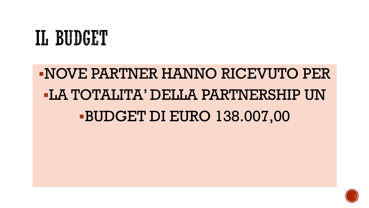### IL BUDGET

### NOVE PARTNER HANNO RICEVUTO PER **-LA TOTALITA' DELLA PARTNERSHIP UN BUDGET DI EURO 138.007,00**

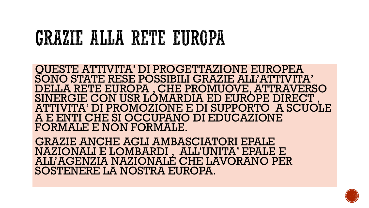### GRAZIE ALLA RETE EUROPA

QUESTE ATTIVITA' DI PROGETTAZIONE EUROPEA SONO STATE RESE POSSIBILI GRAZIE ALL'ATTIVITA' DELLA RETE EUROPA , CHE PROMUOVE, ATTRAVERSO SINERGIE CON USR LÓMARDIA ED EURÓPE DIRECT ATTIVITA' DI PROMOZIONE E DI SUPPORTO A SCUOLE A E ENTI CHE SI OCCUPANO DI EDUCAZIONE FORMALE E NON FORMALE.

GRAZIE ANCHE AGLI AMBASCIATORI EPALE NAZIONALI E LOMBARDI , ALL'UNITA' EPALE E ALL'AGENZIA NAZIONALE CHE LAVORANO PER SOSTENERE LA NOSTRA EUROPA.